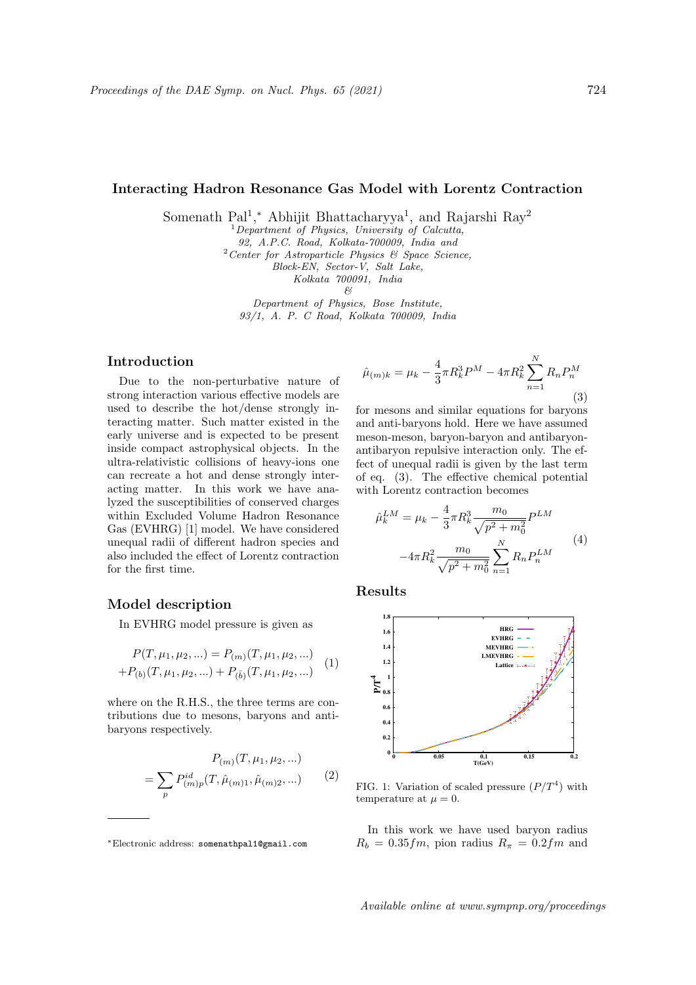# Interacting Hadron Resonance Gas Model with Lorentz Contraction

Somenath Pal<sup>1</sup>,\* Abhijit Bhattacharyya<sup>1</sup>, and Rajarshi Ray<sup>2</sup>

 ${}^{1}$ Department of Physics, University of Calcutta,

92, A.P.C. Road, Kolkata-700009, India and

 $2$  Center for Astroparticle Physics & Space Science,

Block-EN, Sector-V, Salt Lake,

Kolkata 700091, India

 $\beta$ 

Department of Physics, Bose Institute, 93/1, A. P. C Road, Kolkata 700009, India

## Introduction

Due to the non-perturbative nature of strong interaction various effective models are used to describe the hot/dense strongly interacting matter. Such matter existed in the early universe and is expected to be present inside compact astrophysical objects. In the ultra-relativistic collisions of heavy-ions one can recreate a hot and dense strongly interacting matter. In this work we have analyzed the susceptibilities of conserved charges within Excluded Volume Hadron Resonance Gas (EVHRG) [1] model. We have considered unequal radii of different hadron species and also included the effect of Lorentz contraction for the first time.

# Model description

In EVHRG model pressure is given as

$$
P(T, \mu_1, \mu_2, \ldots) = P_{(m)}(T, \mu_1, \mu_2, \ldots)
$$
  
+
$$
P_{(b)}(T, \mu_1, \mu_2, \ldots) + P_{(\bar{b})}(T, \mu_1, \mu_2, \ldots)
$$
 (1)

where on the R.H.S., the three terms are contributions due to mesons, baryons and antibaryons respectively.

$$
P_{(m)}(T, \mu_1, \mu_2, \ldots)
$$
  
= 
$$
\sum_{p} P_{(m)p}^{id}(T, \hat{\mu}_{(m)1}, \hat{\mu}_{(m)2}, \ldots)
$$
 (2)

$$
\hat{\mu}_{(m)k} = \mu_k - \frac{4}{3}\pi R_k^3 P^M - 4\pi R_k^2 \sum_{n=1}^N R_n P_n^M
$$
\n(3)

for mesons and similar equations for baryons and anti-baryons hold. Here we have assumed meson-meson, baryon-baryon and antibaryonantibaryon repulsive interaction only. The effect of unequal radii is given by the last term of eq. (3). The effective chemical potential with Lorentz contraction becomes

$$
\hat{\mu}_k^{LM} = \mu_k - \frac{4}{3}\pi R_k^3 \frac{m_0}{\sqrt{p^2 + m_0^2}} P^{LM}
$$

$$
-4\pi R_k^2 \frac{m_0}{\sqrt{p^2 + m_0^2}} \sum_{n=1}^N R_n P_n^{LM}
$$
(4)

Results



FIG. 1: Variation of scaled pressure  $(P/T<sup>4</sup>)$  with temperature at  $\mu = 0$ .

In this work we have used baryon radius  $R_b = 0.35$ fm, pion radius  $R_\pi = 0.2$ fm and

<sup>∗</sup>Electronic address: somenathpal1@gmail.com